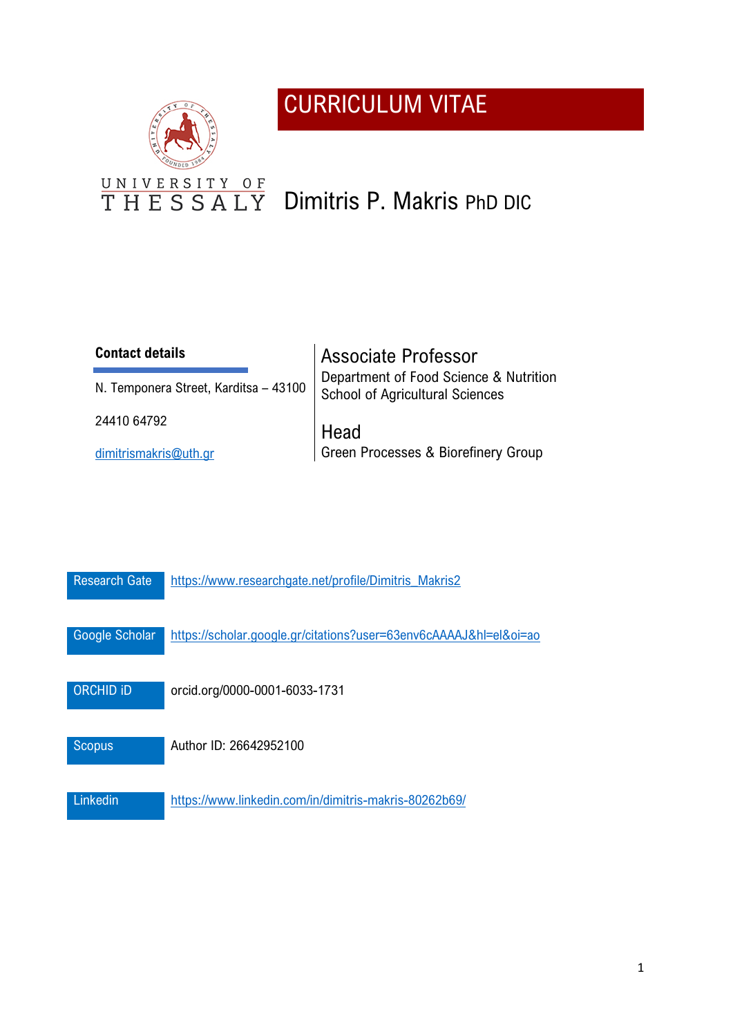## CURRICULUM VITAE



# THESSALY Dimitris P. Makris PhD DIC

## **Contact details**

N. Temponera Street, Karditsa – 43100

24410 64792

[dimitrismakris@uth.gr](mailto:dimitrismakris@uth.gr)

Associate Professor Department of Food Science & Nutrition School of Agricultural Sciences

Head Green Processes & Biorefinery Group

| <b>Research Gate</b> | https://www.researchgate.net/profile/Dimitris Makris2             |
|----------------------|-------------------------------------------------------------------|
| Google Scholar       | https://scholar.google.gr/citations?user=63env6cAAAAJ&hl=el&oi=ao |
| <b>ORCHID ID</b>     | orcid.org/0000-0001-6033-1731                                     |
| <b>Scopus</b>        | Author ID: 26642952100                                            |
| Linkedin             | https://www.linkedin.com/in/dimitris-makris-80262b69/             |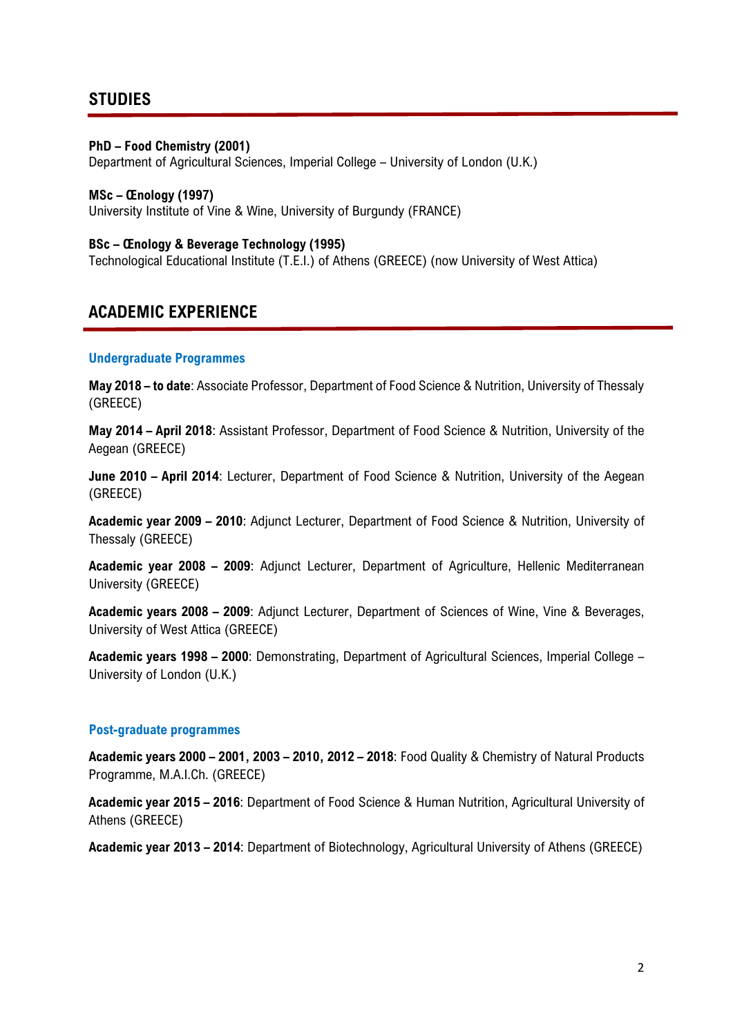## **STUDIES**

#### **PhD – Food Chemistry (2001)**

Department of Agricultural Sciences, Imperial College – University of London (U.K.)

#### **MSc – Œnology (1997)**

University Institute of Vine & Wine, University of Burgundy (FRANCE)

#### **BSc – Œnology & Beverage Technology (1995)**

Technological Educational Institute (Τ.Ε.Ι.) of Athens (GREECE) (now University of West Attica)

## **ACADEMIC EXPERIENCE**

#### **Undergraduate Programmes**

**May 2018 – to date**: Associate Professor, Department of Food Science & Nutrition, University of Thessaly (GREECE)

**May 2014 – April 2018**: Assistant Professor, Department of Food Science & Nutrition, University of the Aegean (GREECE)

**June 2010 – April 2014**: Lecturer, Department of Food Science & Nutrition, University of the Aegean (GREECE)

**Academic year 2009 – 2010**: Adjunct Lecturer, Department of Food Science & Nutrition, University of Thessaly (GREECE)

**Academic year 2008 – 2009**: Adjunct Lecturer, Department of Agriculture, Hellenic Mediterranean University (GREECE)

**Academic years 2008 – 2009**: Adjunct Lecturer, Department of Sciences of Wine, Vine & Beverages, University of West Attica (GREECE)

**Academic years 1998 – 2000**: Demonstrating, Department of Agricultural Sciences, Imperial College – University of London (U.K.)

#### **Post-graduate programmes**

**Academic years 2000 – 2001, 2003 – 2010, 2012 – 2018**: Food Quality & Chemistry of Natural Products Programme, M.A.I.Ch. (GREECE)

**Academic year 2015 – 2016**: Department of Food Science & Human Nutrition, Agricultural University of Athens (GREECE)

**Academic year 2013 – 2014**: Department of Biotechnology, Agricultural University of Athens (GREECE)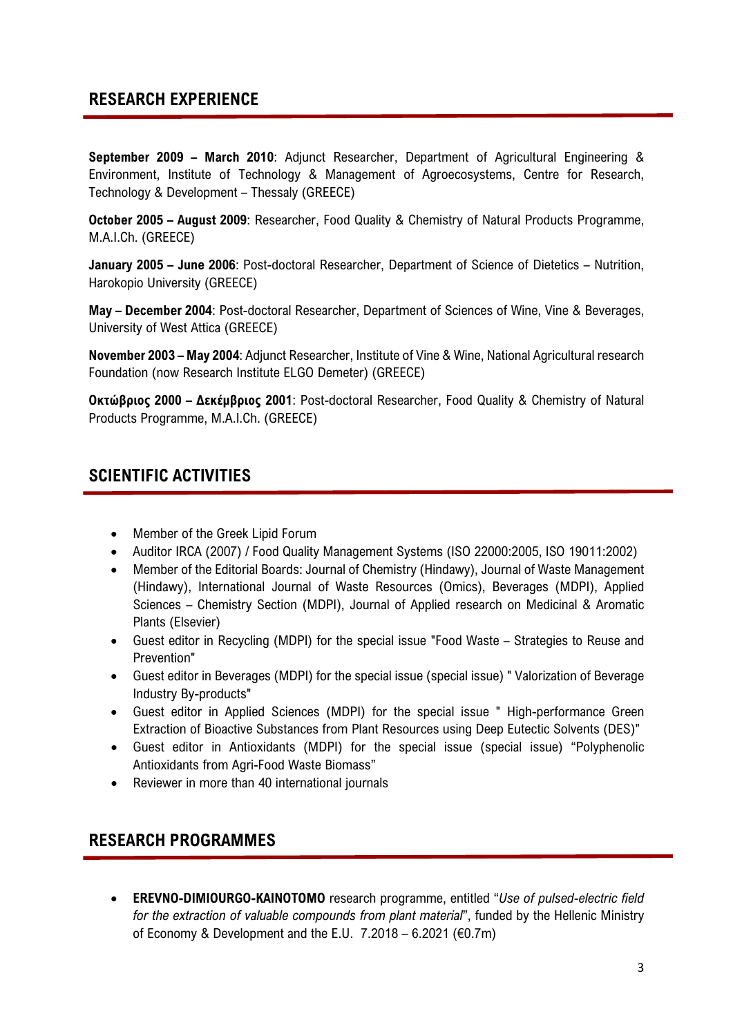## **RESEARCH EXPERIENCE**

**September 2009 – March 2010**: Adjunct Researcher, Department of Agricultural Engineering & Environment, Institute of Technology & Management of Agroecosystems, Centre for Research, Technology & Development – Thessaly (GREECE)

**October 2005 – August 2009**: Researcher, Food Quality & Chemistry of Natural Products Programme, M.A.I.Ch. (GREECE)

**January 2005 – June 2006**: Post-doctoral Researcher, Department of Science of Dietetics – Nutrition, Harokopio University (GREECE)

**May – December 2004**: Post-doctoral Researcher, Department of Sciences of Wine, Vine & Beverages, University of West Attica (GREECE)

**November 2003 – May 2004**: Adjunct Researcher, Institute of Vine & Wine, National Agricultural research Foundation (now Research Institute ELGO Demeter) (GREECE)

**Οκτώβριος 2000 – Δεκέμβριος 2001**: Post-doctoral Researcher, Food Quality & Chemistry of Natural Products Programme, M.A.I.Ch. (GREECE)

## **SCIENTIFIC ACTIVITIES**

- Member of the Greek Lipid Forum
- Auditor IRCA (2007) / Food Quality Management Systems (ISO 22000:2005, ISO 19011:2002)
- Member of the Editorial Boards: Journal of Chemistry (Hindawy), Journal of Waste Management (Hindawy), International Journal of Waste Resources (Omics), Beverages (MDPI), Applied Sciences – Chemistry Section (MDPI), Journal of Applied research on Medicinal & Aromatic Plants (Elsevier)
- Guest editor in Recycling (MDPI) for the special issue "Food Waste Strategies to Reuse and Prevention"
- Guest editor in Beverages (MDPI) for the special issue (special issue) " Valorization of Beverage Industry By-products"
- Guest editor in Applied Sciences (MDPI) for the special issue " High-performance Green Extraction of Bioactive Substances from Plant Resources using Deep Eutectic Solvents (DES)"
- Guest editor in Antioxidants (MDPI) for the special issue (special issue) "Polyphenolic Antioxidants from Agri-Food Waste Biomass"
- Reviewer in more than 40 international journals

## **RESEARCH PROGRAMMES**

• **EREVNO-DIMIOURGO-KAINOTOMO** research programme, entitled "*Use of pulsed-electric field for the extraction of valuable compounds from plant material*", funded by the Hellenic Ministry of Economy & Development and the E.U.  $7.2018 - 6.2021$  ( $\epsilon$ 0.7m)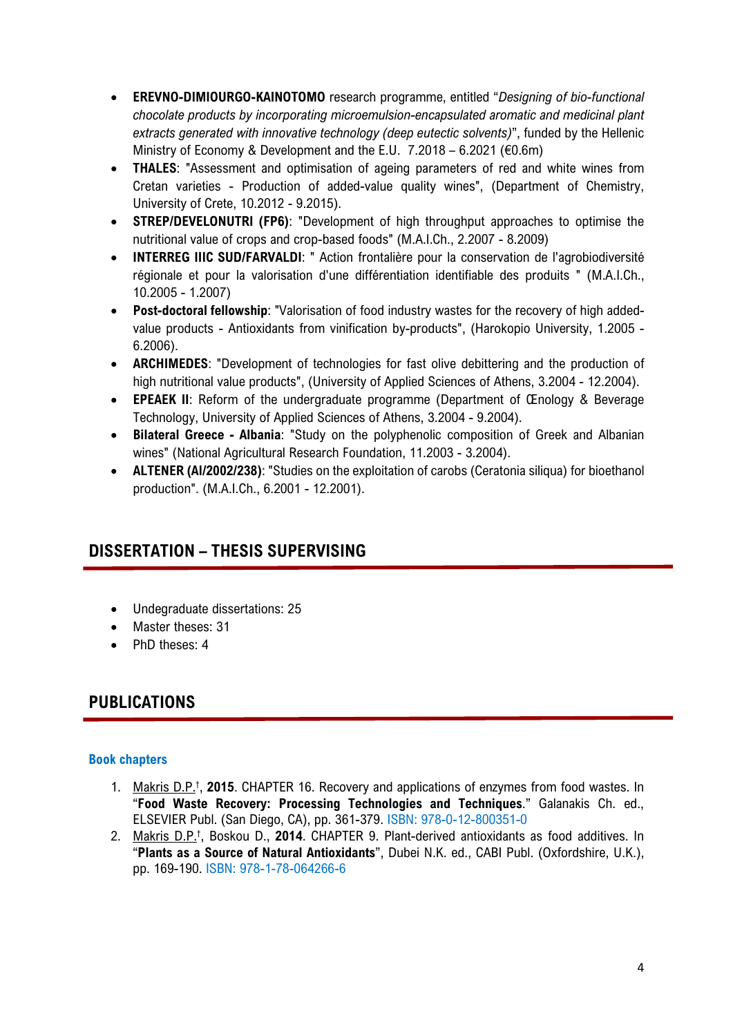- **EREVNO-DIMIOURGO-KAINOTOMO** research programme, entitled "*Designing of bio-functional chocolate products by incorporating microemulsion-encapsulated aromatic and medicinal plant extracts generated with innovative technology (deep eutectic solvents)*", funded by the Hellenic Ministry of Economy & Development and the E.U.  $7.2018 - 6.2021$  ( $\epsilon$ 0.6m)
- **THALES**: "Assessment and optimisation of ageing parameters of red and white wines from Cretan varieties - Production of added-value quality wines", (Department of Chemistry, University of Crete, 10.2012 - 9.2015).
- **STREP/DEVELONUTRI (FP6)**: "Development of high throughput approaches to optimise the nutritional value of crops and crop-based foods" (M.A.I.Ch., 2.2007 - 8.2009)
- **INTERREG IIIC SUD/FARVALDI**: " Action frontalière pour la conservation de l'agrobiodiversité régionale et pour la valorisation d'une différentiation identifiable des produits " (M.A.I.Ch., 10.2005 - 1.2007)
- **Post-doctoral fellowship**: "Valorisation of food industry wastes for the recovery of high addedvalue products - Antioxidants from vinification by-products", (Harokopio University, 1.2005 - 6.2006).
- **ARCHIMEDES**: "Development of technologies for fast olive debittering and the production of high nutritional value products", (University of Applied Sciences of Athens, 3.2004 - 12.2004).
- **EPEAEK II**: Reform of the undergraduate programme (Department of Œnology & Beverage Technology, University of Applied Sciences of Athens, 3.2004 - 9.2004).
- **Bilateral Greece - Albania**: "Study on the polyphenolic composition of Greek and Albanian wines" (National Agricultural Research Foundation, 11.2003 - 3.2004).
- **ALTENER (Al/2002/238)**: "Studies on the exploitation of carobs (Ceratonia siliqua) for bioethanol production". (M.A.I.Ch., 6.2001 - 12.2001).

## **DISSERTATION – THESIS SUPERVISING**

- Undegraduate dissertations: 25
- Master theses: 31
- PhD theses: 4

## **PUBLICATIONS**

## **Book chapters**

- 1. Makris D.P.† , **2015**. CHAPTER 16. Recovery and applications of enzymes from food wastes. In "**Food Waste Recovery: Processing Technologies and Techniques**." Galanakis Ch. ed., ELSEVIER Publ. (San Diego, CA), pp. 361-379. ISBN: 978-0-12-800351-0
- 2. Makris D.P.† , Boskou D., **2014**. CHAPTER 9. Plant-derived antioxidants as food additives. In "**Plants as a Source of Natural Antioxidants**", Dubei N.K. ed., CABI Publ. (Oxfordshire, U.K.), pp. 169-190. ISBN: 978-1-78-064266-6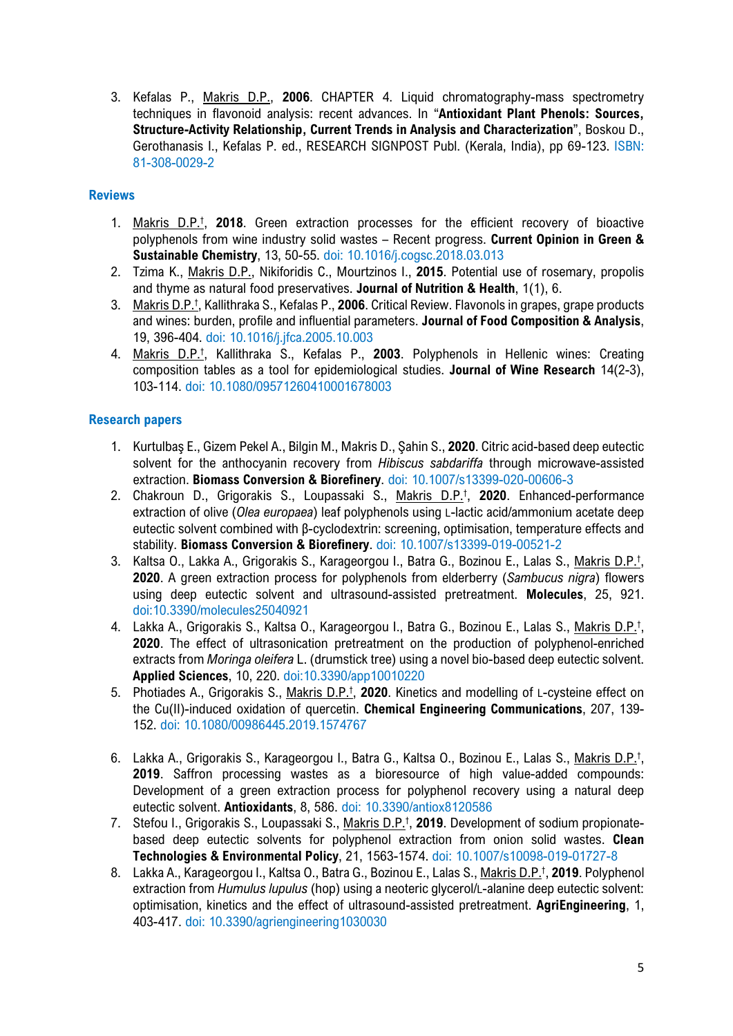3. Kefalas P., Makris D.P., **2006**. CHAPTER 4. Liquid chromatography-mass spectrometry techniques in flavonoid analysis: recent advances. In "**Antioxidant Plant Phenols: Sources, Structure-Activity Relationship, Current Trends in Analysis and Characterization**", Boskou D., Gerothanasis I., Kefalas P. ed., RESEARCH SIGNPOST Publ. (Kerala, India), pp 69-123. ISBN: 81-308-0029-2

### **Reviews**

- 1. Makris D.P.† , **2018**. Green extraction processes for the efficient recovery of bioactive polyphenols from wine industry solid wastes – Recent progress. **Current Opinion in Green & Sustainable Chemistry**, 13, 50-55. doi: 10.1016/j.cogsc.2018.03.013
- 2. Tzima K., Makris D.P., Nikiforidis C., Mourtzinos I., **2015**. Potential use of rosemary, propolis and thyme as natural food preservatives. **Journal of Nutrition & Health**, 1(1), 6.
- 3. Makris D.P.† , Kallithraka S., Kefalas P., **2006**. Critical Review. Flavonols in grapes, grape products and wines: burden, profile and influential parameters. **Journal of Food Composition & Analysis**, 19, 396-404. doi: 10.1016/j.jfca.2005.10.003
- 4. Makris D.P.† , Kallithraka S., Kefalas P., **2003**. Polyphenols in Hellenic wines: Creating composition tables as a tool for epidemiological studies. **Journal of Wine Research** 14(2-3), 103-114. doi: 10.1080/09571260410001678003

### **Research papers**

- 1. Kurtulbaş E., Gizem Pekel A., Bilgin M., Makris D., Şahin S., **2020**. Citric acid-based deep eutectic solvent for the anthocyanin recovery from *Hibiscus sabdariffa* through microwave-assisted extraction. **Biomass Conversion & Biorefinery**. doi: 10.1007/s13399-020-00606-3
- 2. Chakroun D., Grigorakis S., Loupassaki S., Makris D.P.† , **2020**. Enhanced-performance extraction of olive (*Olea europaea*) leaf polyphenols using L-lactic acid/ammonium acetate deep eutectic solvent combined with β-cyclodextrin: screening, optimisation, temperature effects and stability. **Biomass Conversion & Biorefinery**. doi: 10.1007/s13399-019-00521-2
- 3. Kaltsa O., Lakka A., Grigorakis S., Karageorgou I., Batra G., Bozinou E., Lalas S., Makris D.P.<sup>t</sup>, **2020**. A green extraction process for polyphenols from elderberry (*Sambucus nigra*) flowers using deep eutectic solvent and ultrasound-assisted pretreatment. **Molecules**, 25, 921. doi:10.3390/molecules25040921
- 4. Lakka A., Grigorakis S., Kaltsa O., Karageorgou I., Batra G., Bozinou E., Lalas S., Makris D.P.<sup>†</sup>, **2020**. The effect of ultrasonication pretreatment on the production of polyphenol-enriched extracts from *Moringa oleifera* L. (drumstick tree) using a novel bio-based deep eutectic solvent. **Applied Sciences**, 10, 220. doi:10.3390/app10010220
- 5. Photiades A., Grigorakis S., Makris D.P.† , **2020**. Kinetics and modelling of L-cysteine effect on the Cu(II)-induced oxidation of quercetin. **Chemical Engineering Communications**, 207, 139- 152. doi: 10.1080/00986445.2019.1574767
- 6. Lakka A., Grigorakis S., Karageorgou I., Batra G., Kaltsa O., Bozinou E., Lalas S., Makris D.P.<sup>†</sup>, **2019**. Saffron processing wastes as a bioresource of high value-added compounds: Development of a green extraction process for polyphenol recovery using a natural deep eutectic solvent. **Antioxidants**, 8, 586. doi: 10.3390/antiox8120586
- 7. Stefou I., Grigorakis S., Loupassaki S., Makris D.P.† , **2019**. Development of sodium propionatebased deep eutectic solvents for polyphenol extraction from onion solid wastes. **Clean Technologies & Environmental Policy**, 21, 1563-1574. doi: 10.1007/s10098-019-01727-8
- 8. Lakka A., Karageorgou I., Kaltsa O., Batra G., Bozinou E., Lalas S., Makris D.P.† , **2019**. Polyphenol extraction from *Humulus lupulus* (hop) using a neoteric glycerol/L-alanine deep eutectic solvent: optimisation, kinetics and the effect of ultrasound-assisted pretreatment. **AgriEngineering**, 1, 403-417. doi: 10.3390/agriengineering1030030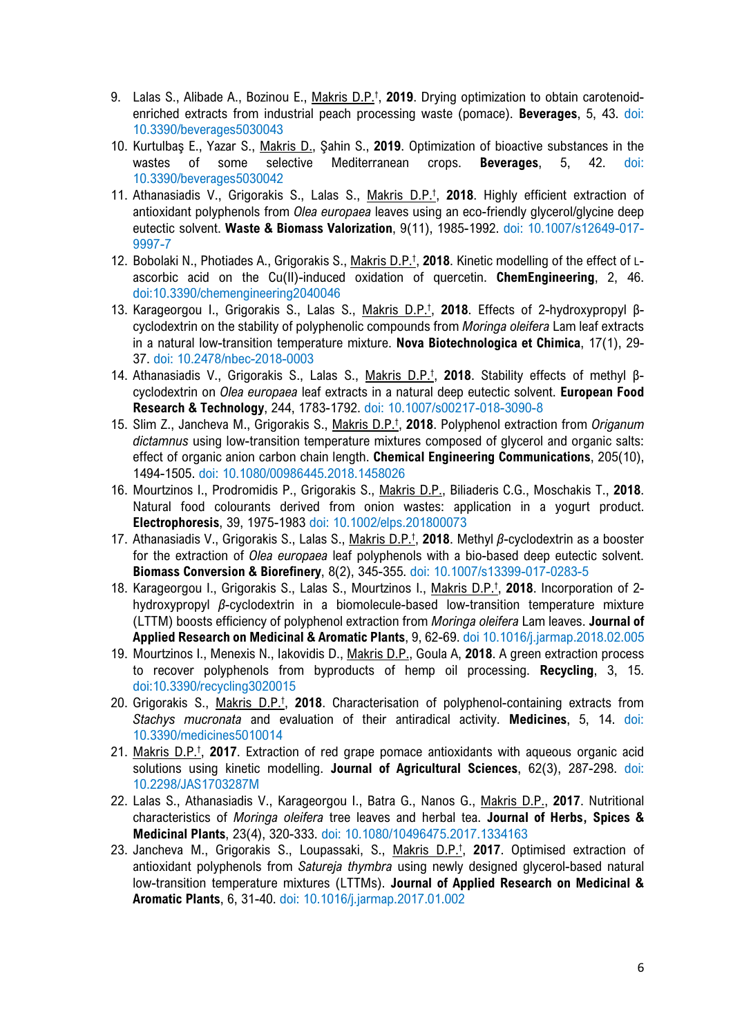- 9. Lalas S., Alibade A., Bozinou E., Makris D.P.† , **2019**. Drying optimization to obtain carotenoidenriched extracts from industrial peach processing waste (pomace). **Beverages**, 5, 43. doi: 10.3390/beverages5030043
- 10. Kurtulbaş E., Yazar S., Makris D., Şahin S., **2019**. Optimization of bioactive substances in the wastes of some selective Mediterranean crops. **Beverages**, 5, 42. doi: 10.3390/beverages5030042
- 11. Athanasiadis V., Grigorakis S., Lalas S., Makris D.P.† , **2018**. Highly efficient extraction of antioxidant polyphenols from *Olea europaea* leaves using an eco-friendly glycerol/glycine deep eutectic solvent. **Waste & Biomass Valorization**, 9(11), 1985-1992. doi: 10.1007/s12649-017- 9997-7
- 12. Bobolaki N., Photiades A., Grigorakis S., Makris D.P.† , **2018**. Kinetic modelling of the effect of Lascorbic acid on the Cu(II)-induced oxidation of quercetin. **ChemEngineering**, 2, 46. doi:10.3390/chemengineering2040046
- 13. Karageorgou I., Grigorakis S., Lalas S., Makris D.P.† , **2018**. Effects of 2-hydroxypropyl βcyclodextrin on the stability of polyphenolic compounds from *Moringa oleifera* Lam leaf extracts in a natural low-transition temperature mixture. **Nova Biotechnologica et Chimica**, 17(1), 29- 37. doi: 10.2478/nbec-2018-0003
- 14. Athanasiadis V., Grigorakis S., Lalas S., Makris D.P.† , **2018**. Stability effects of methyl βcyclodextrin on *Olea europaea* leaf extracts in a natural deep eutectic solvent. **European Food Research & Technology**, 244, 1783-1792. doi: 10.1007/s00217-018-3090-8
- 15. Slim Z., Jancheva M., Grigorakis S., Makris D.P.† , **2018**. Polyphenol extraction from *Origanum dictamnus* using low-transition temperature mixtures composed of glycerol and organic salts: effect of organic anion carbon chain length. **Chemical Engineering Communications**, 205(10), 1494-1505. doi: 10.1080/00986445.2018.1458026
- 16. Mourtzinos I., Prodromidis P., Grigorakis S., Makris D.P., Biliaderis C.G., Moschakis T., **2018**. Natural food colourants derived from onion wastes: application in a yogurt product. **Electrophoresis**, 39, 1975-1983 doi: 10.1002/elps.201800073
- 17. Athanasiadis V., Grigorakis S., Lalas S., Makris D.P.† , **2018**. Methyl *β*-cyclodextrin as a booster for the extraction of *Olea europaea* leaf polyphenols with a bio-based deep eutectic solvent. **Biomass Conversion & Biorefinery**, 8(2), 345-355. doi: 10.1007/s13399-017-0283-5
- 18. Karageorgou I., Grigorakis S., Lalas S., Mourtzinos I., Makris D.P.† , **2018**. Incorporation of 2 hydroxypropyl *β*-cyclodextrin in a biomolecule-based low-transition temperature mixture (LTTM) boosts efficiency of polyphenol extraction from *Moringa oleifera* Lam leaves. **Journal of Applied Research on Medicinal & Aromatic Plants**, 9, 62-69. doi 10.1016/j.jarmap.2018.02.005
- 19. Mourtzinos I., Menexis N., Iakovidis D., Makris D.P., Goula A, **2018**. Α green extraction process to recover polyphenols from byproducts of hemp oil processing. **Recycling**, 3, 15. doi:10.3390/recycling3020015
- 20. Grigorakis S., Makris D.P.† , **2018**. Characterisation of polyphenol-containing extracts from *Stachys mucronata* and evaluation of their antiradical activity. **Medicines**, 5, 14. doi: 10.3390/medicines5010014
- 21. Makris D.P.† , **2017**. Extraction of red grape pomace antioxidants with aqueous organic acid solutions using kinetic modelling. **Journal of Agricultural Sciences**, 62(3), 287-298. doi: 10.2298/JAS1703287M
- 22. Lalas S., Athanasiadis V., Karageorgou I., Batra G., Nanos G., Makris D.P., **2017**. Nutritional characteristics of *Moringa oleifera* tree leaves and herbal tea. **Journal of Herbs, Spices & Medicinal Plants**, 23(4), 320-333. doi: 10.1080/10496475.2017.1334163
- 23. Jancheva M., Grigorakis S., Loupassaki, S., Makris D.P.† , **2017**. Optimised extraction of antioxidant polyphenols from *Satureja thymbra* using newly designed glycerol-based natural low-transition temperature mixtures (LTTMs). **Journal of Applied Research on Medicinal & Aromatic Plants**, 6, 31-40. doi: 10.1016/j.jarmap.2017.01.002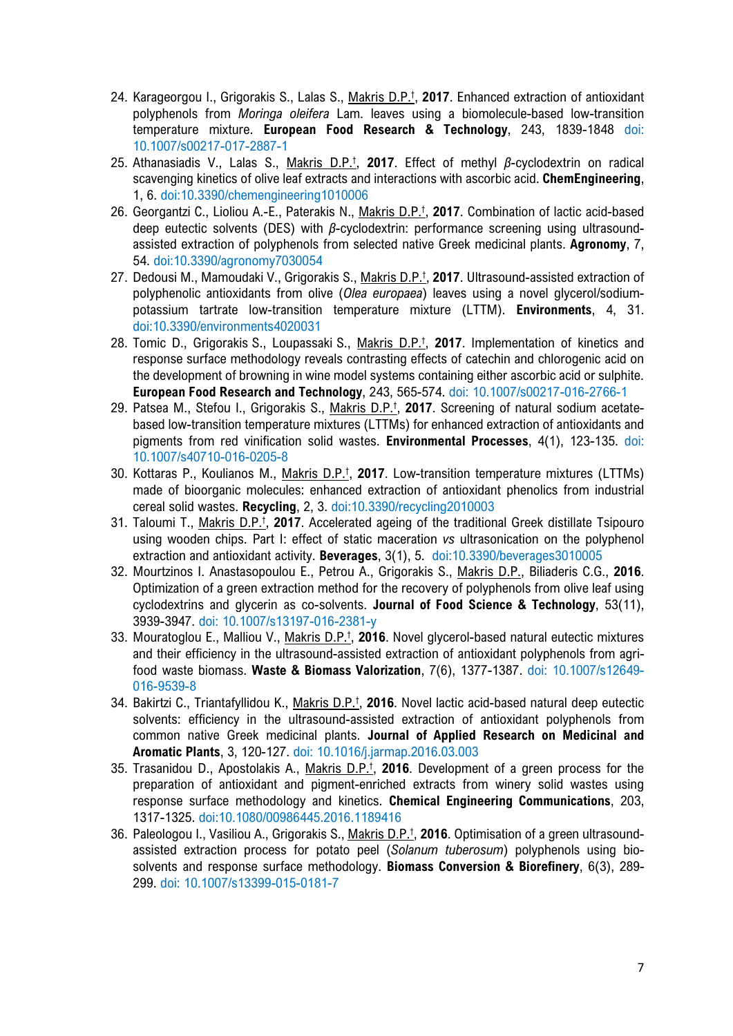- 24. Karageorgou I., Grigorakis S., Lalas S., Makris D.P.† , **2017**. Enhanced extraction of antioxidant polyphenols from *Moringa oleifera* Lam. leaves using a biomolecule-based low-transition temperature mixture. **European Food Research & Technology**, 243, 1839-1848 doi: 10.1007/s00217-017-2887-1
- 25. Athanasiadis V., Lalas S., Makris D.P.† , **2017**. Effect of methyl *β*-cyclodextrin on radical scavenging kinetics of olive leaf extracts and interactions with ascorbic acid. **ChemEngineering**, 1, 6. doi:10.3390/chemengineering1010006
- 26. Georgantzi C., Lioliou A.-E., Paterakis N., Makris D.P.† , **2017**. Combination of lactic acid-based deep eutectic solvents (DES) with *β*-cyclodextrin: performance screening using ultrasoundassisted extraction of polyphenols from selected native Greek medicinal plants. **Agronomy**, 7, 54. doi:10.3390/agronomy7030054
- 27. Dedousi M., Mamoudaki V., Grigorakis S., Makris D.P.† , **2017**. Ultrasound-assisted extraction of polyphenolic antioxidants from olive (*Olea europaea*) leaves using a novel glycerol/sodiumpotassium tartrate low-transition temperature mixture (LTTM). **Environments**, 4, 31. doi:10.3390/environments4020031
- 28. Tomic D., Grigorakis S., Loupassaki S., Makris D.P.† , **2017**. Implementation of kinetics and response surface methodology reveals contrasting effects of catechin and chlorogenic acid on the development of browning in wine model systems containing either ascorbic acid or sulphite. **European Food Research and Technology**, 243, 565-574. doi: 10.1007/s00217-016-2766-1
- 29. Patsea M., Stefou I., Grigorakis S., Makris D.P.† , **2017**. Screening of natural sodium acetatebased low-transition temperature mixtures (LTTMs) for enhanced extraction of antioxidants and pigments from red vinification solid wastes. **Environmental Processes**, 4(1), 123-135. doi: 10.1007/s40710-016-0205-8
- 30. Kottaras P., Koulianos M., Makris D.P.† , **2017**. Low-transition temperature mixtures (LTTMs) made of bioorganic molecules: enhanced extraction of antioxidant phenolics from industrial cereal solid wastes. **Recycling**, 2, 3. doi:10.3390/recycling2010003
- 31. Taloumi T., Makris D.P.† , **2017**. Accelerated ageing of the traditional Greek distillate Tsipouro using wooden chips. Part I: effect of static maceration *vs* ultrasonication on the polyphenol extraction and antioxidant activity. **Beverages**, 3(1), 5. doi:10.3390/beverages3010005
- 32. Mourtzinos I. Anastasopoulou E., Petrou A., Grigorakis S., Makris D.P., Biliaderis C.G., **2016**. Optimization of a green extraction method for the recovery of polyphenols from olive leaf using cyclodextrins and glycerin as co-solvents. **Journal of Food Science & Technology**, 53(11), 3939-3947. doi: 10.1007/s13197-016-2381-y
- 33. Mouratoglou E., Malliou V., Makris D.P.† , **2016**. Novel glycerol-based natural eutectic mixtures and their efficiency in the ultrasound-assisted extraction of antioxidant polyphenols from agrifood waste biomass. **Waste & Biomass Valorization**, 7(6), 1377-1387. doi: 10.1007/s12649- 016-9539-8
- 34. Bakirtzi C., Triantafyllidou K., Makris D.P.† , **2016**. Novel lactic acid-based natural deep eutectic solvents: efficiency in the ultrasound-assisted extraction of antioxidant polyphenols from common native Greek medicinal plants. **Journal of Applied Research on Medicinal and Aromatic Plants**, 3, 120-127. doi: 10.1016/j.jarmap.2016.03.003
- 35. Trasanidou D., Apostolakis A., Makris D.P.† , **2016**. Development of a green process for the preparation of antioxidant and pigment-enriched extracts from winery solid wastes using response surface methodology and kinetics. **Chemical Engineering Communications**, 203, 1317-1325. doi:10.1080/00986445.2016.1189416
- 36. Paleologou I., Vasiliou A., Grigorakis S., Makris D.P.† , **2016**. Optimisation of a green ultrasoundassisted extraction process for potato peel (*Solanum tuberosum*) polyphenols using biosolvents and response surface methodology. **Biomass Conversion & Biorefinery**, 6(3), 289- 299. doi: 10.1007/s13399-015-0181-7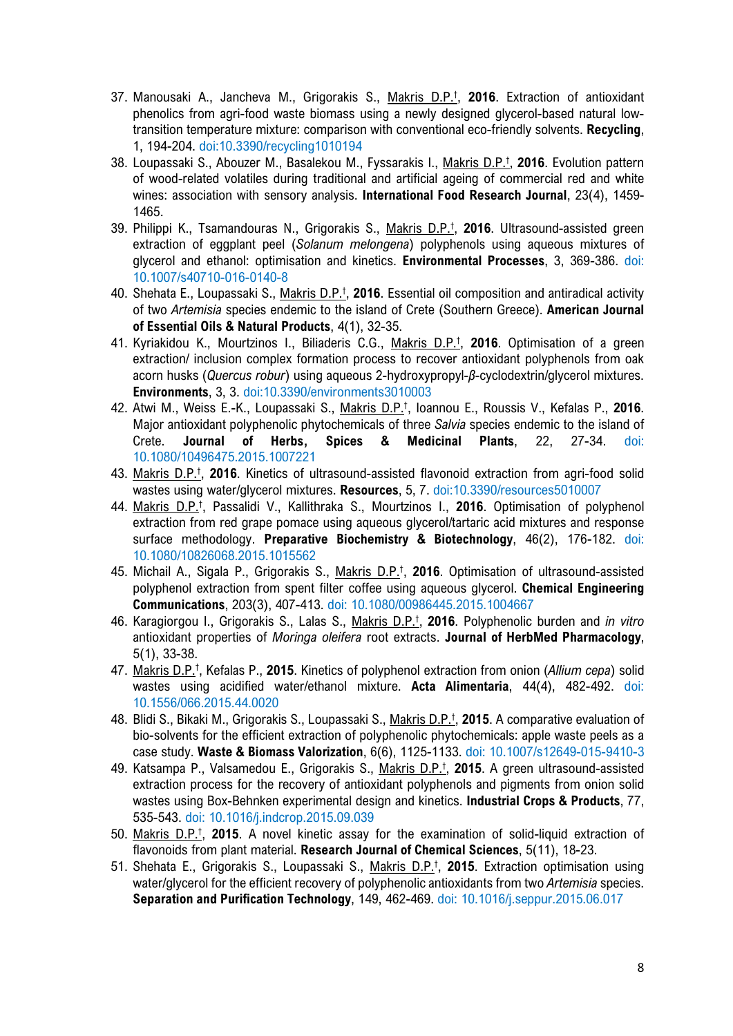- 37. Manousaki A., Jancheva M., Grigorakis S., Makris D.P.† , **2016**. Extraction of antioxidant phenolics from agri-food waste biomass using a newly designed glycerol-based natural lowtransition temperature mixture: comparison with conventional eco-friendly solvents. **Recycling**, 1, 194-204. doi:10.3390/recycling1010194
- 38. Loupassaki S., Abouzer M., Basalekou M., Fyssarakis I., Makris D.P.† , **2016**. Evolution pattern of wood-related volatiles during traditional and artificial ageing of commercial red and white wines: association with sensory analysis. **International Food Research Journal**, 23(4), 1459- 1465.
- 39. Philippi K., Tsamandouras N., Grigorakis S., Makris D.P.† , **2016**. Ultrasound-assisted green extraction of eggplant peel (*Solanum melongena*) polyphenols using aqueous mixtures of glycerol and ethanol: optimisation and kinetics. **Environmental Processes**, 3, 369-386. doi: 10.1007/s40710-016-0140-8
- 40. Shehata E., Loupassaki S., Makris D.P.† , **2016**. Essential oil composition and antiradical activity of two *Artemisia* species endemic to the island of Crete (Southern Greece). **American Journal of Essential Oils & Natural Products**, 4(1), 32-35.
- 41. Kyriakidou K., Mourtzinos I., Biliaderis C.G., Makris D.P.† , **2016**. Optimisation of a green extraction/ inclusion complex formation process to recover antioxidant polyphenols from oak acorn husks (*Quercus robur*) using aqueous 2-hydroxypropyl-*β*-cyclodextrin/glycerol mixtures. **Environments**, 3, 3. doi:10.3390/environments3010003
- 42. Atwi M., Weiss E.-K., Loupassaki S., Makris D.P.† , Ioannou E., Roussis V., Kefalas P., **2016**. Major antioxidant polyphenolic phytochemicals of three *Salvia* species endemic to the island of Crete. **Journal of Herbs, Spices & Medicinal Plants**, 22, 27-34. doi: 10.1080/10496475.2015.1007221
- 43. Makris D.P.† , **2016**. Kinetics of ultrasound-assisted flavonoid extraction from agri-food solid wastes using water/glycerol mixtures. **Resources**, 5, 7. doi:10.3390/resources5010007
- 44. Makris D.P.† , Passalidi V., Kallithraka S., Mourtzinos I., **2016**. Optimisation of polyphenol extraction from red grape pomace using aqueous glycerol/tartaric acid mixtures and response surface methodology. **Preparative Biochemistry & Biotechnology**, 46(2), 176-182. doi: 10.1080/10826068.2015.1015562
- 45. Michail A., Sigala P., Grigorakis S., Makris D.P.† , **2016**. Optimisation of ultrasound-assisted polyphenol extraction from spent filter coffee using aqueous glycerol. **Chemical Engineering Communications**, 203(3), 407-413. doi: 10.1080/00986445.2015.1004667
- 46. Karagiorgou I., Grigorakis S., Lalas S., Makris D.P.† , **2016**. Polyphenolic burden and *in vitro* antioxidant properties of *Moringa oleifera* root extracts. **Journal of HerbMed Pharmacology**, 5(1), 33-38.
- 47. Makris D.P.† , Kefalas P., **2015**. Kinetics of polyphenol extraction from onion (*Allium cepa*) solid wastes using acidified water/ethanol mixture. **Acta Alimentaria**, 44(4), 482-492. doi: 10.1556/066.2015.44.0020
- 48. Blidi S., Bikaki M., Grigorakis S., Loupassaki S., Makris D.P.† , **2015**. A comparative evaluation of bio-solvents for the efficient extraction of polyphenolic phytochemicals: apple waste peels as a case study. **Waste & Biomass Valorization**, 6(6), 1125-1133. doi: 10.1007/s12649-015-9410-3
- 49. Katsampa P., Valsamedou E., Grigorakis S., Makris D.P.† , **2015**. A green ultrasound-assisted extraction process for the recovery of antioxidant polyphenols and pigments from onion solid wastes using Box-Behnken experimental design and kinetics. **Industrial Crops & Products**, 77, 535-543. doi: 10.1016/j.indcrop.2015.09.039
- 50. Makris D.P.† , **2015**. A novel kinetic assay for the examination of solid-liquid extraction of flavonoids from plant material. **Research Journal of Chemical Sciences**, 5(11), 18-23.
- 51. Shehata E., Grigorakis S., Loupassaki S., Makris D.P.† , **2015**. Extraction optimisation using water/glycerol for the efficient recovery of polyphenolic antioxidants from two *Artemisia* species. **Separation and Purification Technology**, 149, 462-469. doi: 10.1016/j.seppur.2015.06.017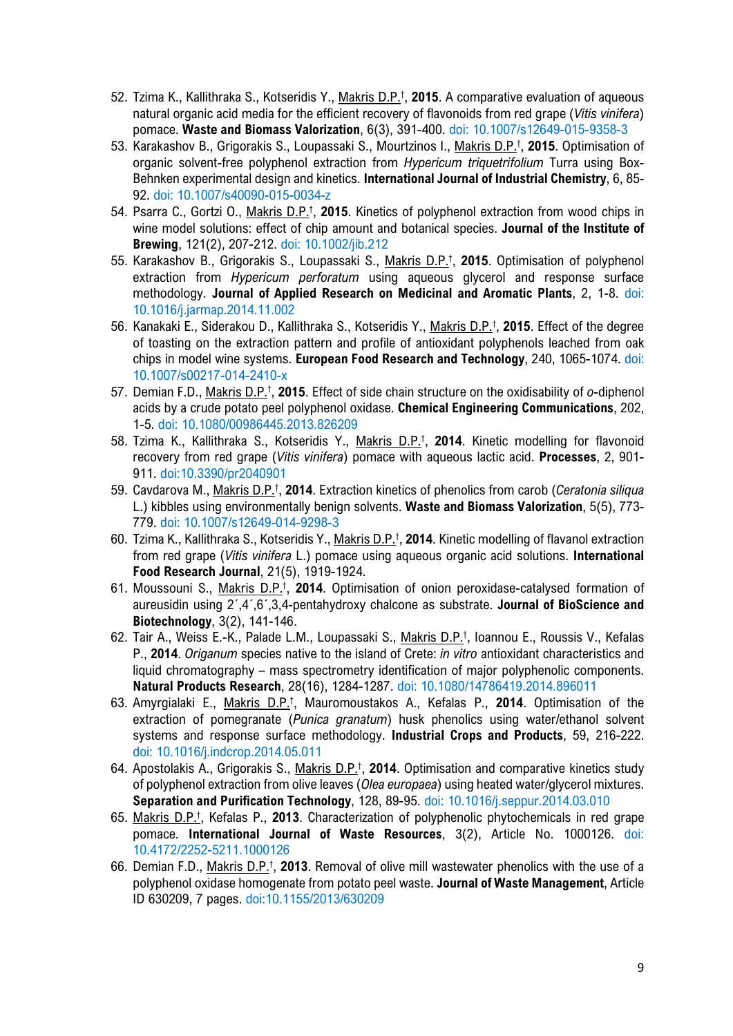- 52. Tzima K., Kallithraka S., Kotseridis Y., Makris D.P.† , **2015**. A comparative evaluation of aqueous natural organic acid media for the efficient recovery of flavonoids from red grape (*Vitis vinifera*) pomace. **Waste and Biomass Valorization**, 6(3), 391-400. doi: 10.1007/s12649-015-9358-3
- 53. Karakashov B., Grigorakis S., Loupassaki S., Mourtzinos I., Makris D.P.† , **2015**. Optimisation of organic solvent-free polyphenol extraction from *Hypericum triquetrifolium* Turra using Box-Behnken experimental design and kinetics. **International Journal of Industrial Chemistry**, 6, 85- 92. doi: 10.1007/s40090-015-0034-z
- 54. Psarra C., Gortzi O., Makris D.P.† , **2015**. Kinetics of polyphenol extraction from wood chips in wine model solutions: effect of chip amount and botanical species. **Journal of the Institute of Brewing**, 121(2), 207-212. doi: 10.1002/jib.212
- 55. Karakashov B., Grigorakis S., Loupassaki S., Makris D.P.† , **2015**. Optimisation of polyphenol extraction from *Hypericum perforatum* using aqueous glycerol and response surface methodology. **Journal of Applied Research on Medicinal and Aromatic Plants**, 2, 1-8. doi: 10.1016/j.jarmap.2014.11.002
- 56. Kanakaki E., Siderakou D., Kallithraka S., Kotseridis Y., Makris D.P.† , **2015**. Effect of the degree of toasting on the extraction pattern and profile of antioxidant polyphenols leached from oak chips in model wine systems. **European Food Research and Technology**, 240, 1065-1074. doi: 10.1007/s00217-014-2410-x
- 57. Demian F.D., Makris D.P.† , **2015**. Effect of side chain structure on the oxidisability of *o*-diphenol acids by a crude potato peel polyphenol oxidase. **Chemical Engineering Communications**, 202, 1-5. doi: 10.1080/00986445.2013.826209
- 58. Tzima K., Kallithraka S., Kotseridis Y., Makris D.P.† , **2014**. Kinetic modelling for flavonoid recovery from red grape (*Vitis vinifera*) pomace with aqueous lactic acid. **Processes**, 2, 901- 911. doi:10.3390/pr2040901
- 59. Cavdarova M., Makris D.P.† , **2014**. Extraction kinetics of phenolics from carob (*Ceratonia siliqua* L.) kibbles using environmentally benign solvents. **Waste and Biomass Valorization**, 5(5), 773- 779. doi: 10.1007/s12649-014-9298-3
- 60. Tzima K., Kallithraka S., Kotseridis Y., Makris D.P.† , **2014**. Kinetic modelling of flavanol extraction from red grape (*Vitis vinifera* L.) pomace using aqueous organic acid solutions. **International Food Research Journal**, 21(5), 1919-1924.
- 61. Moussouni S., Makris D.P.† , **2014**. Optimisation of onion peroxidase-catalysed formation of aureusidin using 2´,4´,6´,3,4-pentahydroxy chalcone as substrate. **Journal of BioScience and Biotechnology**, 3(2), 141-146.
- 62. Tair A., Weiss E.-K., Palade L.M., Loupassaki S., Makris D.P.<sup>†</sup>, Ioannou E., Roussis V., Kefalas P., **2014**. *Origanum* species native to the island of Crete: *in vitro* antioxidant characteristics and liquid chromatography – mass spectrometry identification of major polyphenolic components. **Natural Products Research**, 28(16), 1284-1287. doi: 10.1080/14786419.2014.896011
- 63. Amyrgialaki E., Makris D.P.† , Mauromoustakos A., Kefalas P., **2014**. Optimisation of the extraction of pomegranate (*Punica granatum*) husk phenolics using water/ethanol solvent systems and response surface methodology. **Industrial Crops and Products**, 59, 216-222. doi: 10.1016/j.indcrop.2014.05.011
- 64. Apostolakis A., Grigorakis S., Makris D.P.† , **2014**. Optimisation and comparative kinetics study of polyphenol extraction from olive leaves (*Olea europaea*) using heated water/glycerol mixtures. **Separation and Purification Technology**, 128, 89-95. doi: 10.1016/j.seppur.2014.03.010
- 65. Makris D.P.† , Kefalas P., **2013**. Characterization of polyphenolic phytochemicals in red grape pomace. **International Journal of Waste Resources**, 3(2), Article No. 1000126. doi: 10.4172/2252-5211.1000126
- 66. Demian F.D., Makris D.P.† , **2013**. Removal of olive mill wastewater phenolics with the use of a polyphenol oxidase homogenate from potato peel waste. **Journal of Waste Management**, Article ID 630209, 7 pages. doi:10.1155/2013/630209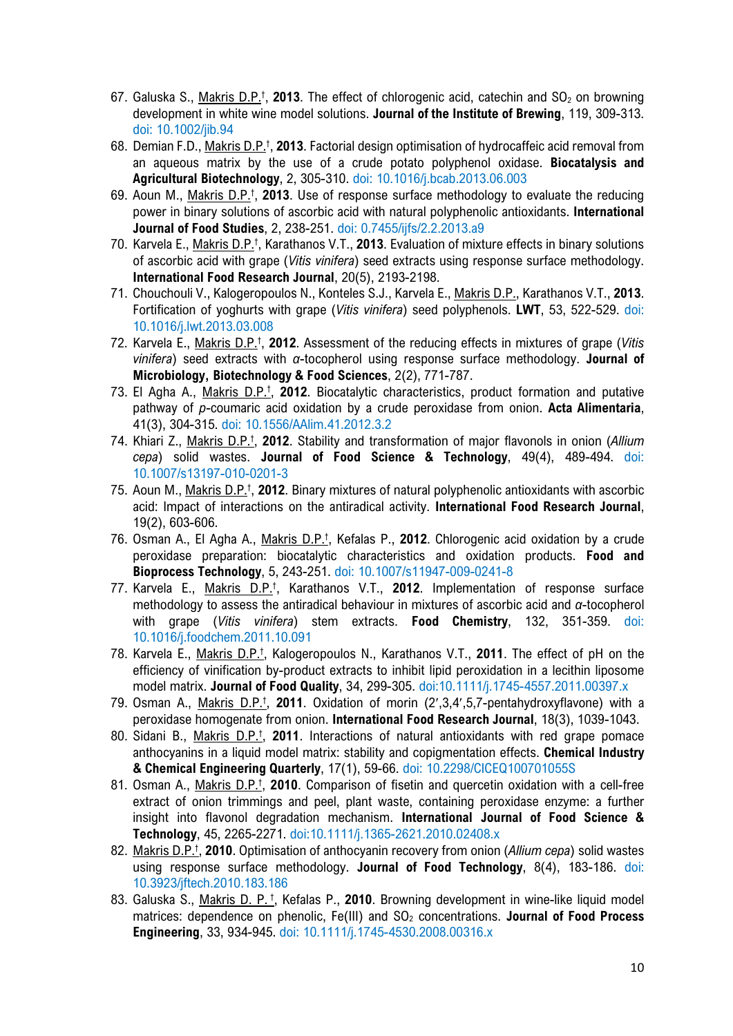- 67. Galuska S., Makris D.P.<sup>†</sup>, 2013. The effect of chlorogenic acid, catechin and SO<sub>2</sub> on browning development in white wine model solutions. **Journal of the Institute of Brewing**, 119, 309-313. doi: 10.1002/jib.94
- 68. Demian F.D., Makris D.P.† , **2013**. Factorial design optimisation of hydrocaffeic acid removal from an aqueous matrix by the use of a crude potato polyphenol oxidase. **Biocatalysis and Agricultural Biotechnology**, 2, 305-310. doi: 10.1016/j.bcab.2013.06.003
- 69. Aoun M., Makris D.P.† , **2013**. Use of response surface methodology to evaluate the reducing power in binary solutions of ascorbic acid with natural polyphenolic antioxidants. **International Journal of Food Studies**, 2, 238-251. doi: 0.7455/ijfs/2.2.2013.a9
- 70. Karvela E., Makris D.P.<sup>†</sup>, Karathanos V.T., 2013. Evaluation of mixture effects in binary solutions of ascorbic acid with grape (*Vitis vinifera*) seed extracts using response surface methodology. **International Food Research Journal**, 20(5), 2193-2198.
- 71. Chouchouli V., Kalogeropoulos N., Konteles S.J., Karvela E., Makris D.P., Karathanos V.T., **2013**. Fortification of yoghurts with grape (*Vitis vinifera*) seed polyphenols. **LWT**, 53, 522-529. doi: 10.1016/j.lwt.2013.03.008
- 72. Karvela E., Makris D.P.† , **2012**. Assessment of the reducing effects in mixtures of grape (*Vitis vinifera*) seed extracts with *α*-tocopherol using response surface methodology. **Journal of Microbiology, Biotechnology & Food Sciences**, 2(2), 771-787.
- 73. El Agha A., Makris D.P.† , **2012**. Biocatalytic characteristics, product formation and putative pathway of *p*-coumaric acid oxidation by a crude peroxidase from onion. **Acta Alimentaria**, 41(3), 304-315. doi: 10.1556/AAlim.41.2012.3.2
- 74. Khiari Z., Makris D.P.† , **2012**. Stability and transformation of major flavonols in onion (*Allium cepa*) solid wastes. **Journal of Food Science & Technology**, 49(4), 489-494. doi: 10.1007/s13197-010-0201-3
- 75. Aoun M., Makris D.P.† , **2012**. Binary mixtures of natural polyphenolic antioxidants with ascorbic acid: Impact of interactions on the antiradical activity. **International Food Research Journal**, 19(2), 603-606.
- 76. Osman A., El Agha A., Makris D.P.† , Kefalas P., **2012**. Chlorogenic acid oxidation by a crude peroxidase preparation: biocatalytic characteristics and oxidation products. **Food and Bioprocess Technology**, 5, 243-251. doi: 10.1007/s11947-009-0241-8
- 77. Karvela E., Makris D.P.<sup>†</sup>, Karathanos V.T., 2012. Implementation of response surface methodology to assess the antiradical behaviour in mixtures of ascorbic acid and *α*-tocopherol with grape (*Vitis vinifera*) stem extracts. **Food Chemistry**, 132, 351-359. doi: 10.1016/j.foodchem.2011.10.091
- 78. Karvela E., Makris D.P.<sup>†</sup>, Kalogeropoulos N., Karathanos V.T., 2011. The effect of pH on the efficiency of vinification by-product extracts to inhibit lipid peroxidation in a lecithin liposome model matrix. **Journal of Food Quality**, 34, 299-305. doi:10.1111/j.1745-4557.2011.00397.x
- 79. Osman A., Makris D.P.† , **2011**. Oxidation of morin (2′,3,4′,5,7-pentahydroxyflavone) with a peroxidase homogenate from onion. **International Food Research Journal**, 18(3), 1039-1043.
- 80. Sidani B., Makris D.P.† , **2011**. Interactions of natural antioxidants with red grape pomace anthocyanins in a liquid model matrix: stability and copigmentation effects. **Chemical Industry & Chemical Engineering Quarterly**, 17(1), 59-66. doi: 10.2298/CICEQ100701055S
- 81. Osman A., Makris D.P.† , **2010**. Comparison of fisetin and quercetin oxidation with a cell-free extract of onion trimmings and peel, plant waste, containing peroxidase enzyme: a further insight into flavonol degradation mechanism. **International Journal of Food Science & Technology**, 45, 2265-2271. doi:10.1111/j.1365-2621.2010.02408.x
- 82. Makris D.P.† , **2010**. Optimisation of anthocyanin recovery from onion (*Allium cepa*) solid wastes using response surface methodology. **Journal of Food Technology**, 8(4), 183-186. doi: 10.3923/jftech.2010.183.186
- 83. Galuska S., Makris D. P.<sup>†</sup>, Kefalas P., 2010. Browning development in wine-like liquid model matrices: dependence on phenolic, Fe(III) and SO<sub>2</sub> concentrations. **Journal of Food Process Engineering**, 33, 934-945. doi: 10.1111/j.1745-4530.2008.00316.x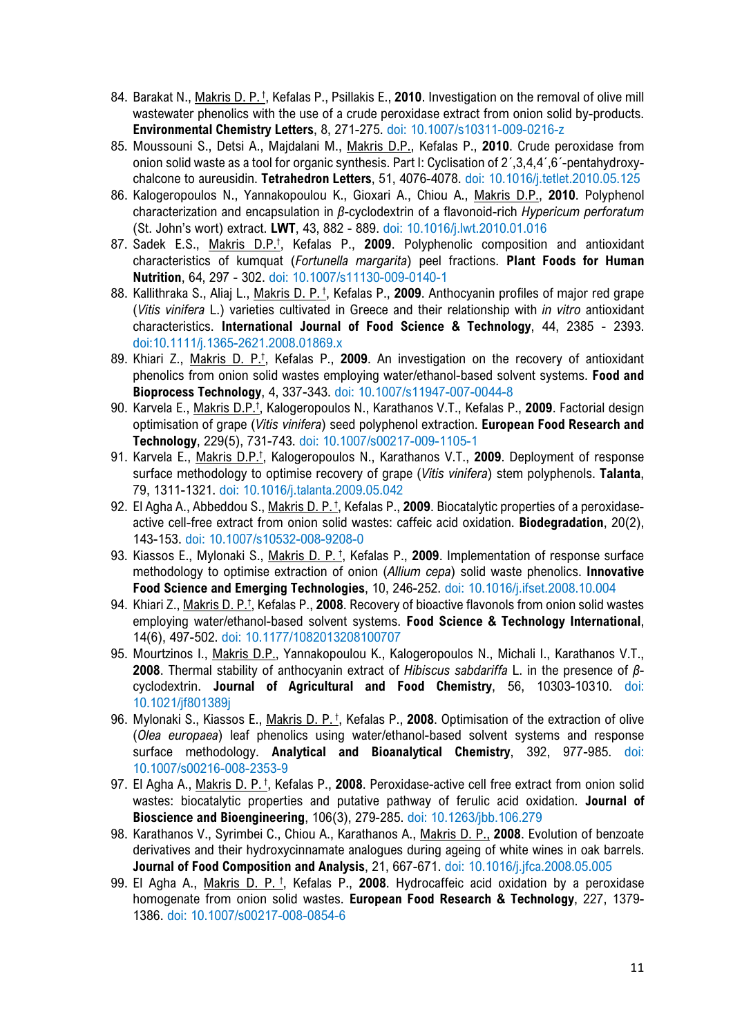- 84. Barakat N., Makris D. P.<sup>†</sup>, Kefalas P., Psillakis E., 2010. Investigation on the removal of olive mill wastewater phenolics with the use of a crude peroxidase extract from onion solid by-products. **Environmental Chemistry Letters**, 8, 271-275. doi: 10.1007/s10311-009-0216-z
- 85. Moussouni S., Detsi A., Majdalani M., Makris D.P., Kefalas P., **2010**. Crude peroxidase from onion solid waste as a tool for organic synthesis. Part I: Cyclisation of 2´,3,4,4´,6´-pentahydroxychalcone to aureusidin. **Tetrahedron Letters**, 51, 4076-4078. doi: 10.1016/j.tetlet.2010.05.125
- 86. Kalogeropoulos N., Yannakopoulou K., Gioxari A., Chiou A., Makris D.P., **2010**. Polyphenol characterization and encapsulation in *β*-cyclodextrin of a flavonoid-rich *Hypericum perforatum* (St. John's wort) extract. **LWT**, 43, 882 - 889. doi: 10.1016/j.lwt.2010.01.016
- 87. Sadek E.S., Makris D.P.† , Kefalas P., **2009**. Polyphenolic composition and antioxidant characteristics of kumquat (*Fortunella margarita*) peel fractions. **Plant Foods for Human Nutrition**, 64, 297 - 302. doi: 10.1007/s11130-009-0140-1
- 88. Kallithraka S., Aliaj L., Makris D. P.<sup>†</sup>, Kefalas P., 2009. Anthocyanin profiles of major red grape (*Vitis vinifera* L.) varieties cultivated in Greece and their relationship with *in vitro* antioxidant characteristics. **International Journal of Food Science & Technology**, 44, 2385 - 2393. doi:10.1111/j.1365-2621.2008.01869.x
- 89. Khiari Z., Makris D. P.† , Kefalas P., **2009**. An investigation on the recovery of antioxidant phenolics from onion solid wastes employing water/ethanol-based solvent systems. **Food and Bioprocess Technology**, 4, 337-343. doi: 10.1007/s11947-007-0044-8
- 90. Karvela E., Makris D.P.<sup>†</sup>, Kalogeropoulos N., Karathanos V.T., Kefalas P., 2009. Factorial design optimisation of grape (*Vitis vinifera*) seed polyphenol extraction. **European Food Research and Technology**, 229(5), 731-743. doi: 10.1007/s00217-009-1105-1
- 91. Karvela E., Makris D.P.<sup>†</sup>, Kalogeropoulos N., Karathanos V.T., 2009. Deployment of response surface methodology to optimise recovery of grape (*Vitis vinifera*) stem polyphenols. **Talanta**, 79, 1311-1321. doi: 10.1016/j.talanta.2009.05.042
- 92. El Agha A., Abbeddou S., Makris D. P.<sup>†</sup>, Kefalas P., 2009. Biocatalytic properties of a peroxidaseactive cell-free extract from onion solid wastes: caffeic acid oxidation. **Biodegradation**, 20(2), 143-153. doi: 10.1007/s10532-008-9208-0
- 93. Kiassos E., Mylonaki S., Makris D. P. † , Kefalas P., **2009**. Implementation of response surface methodology to optimise extraction of onion (*Allium cepa*) solid waste phenolics. **Innovative Food Science and Emerging Technologies**, 10, 246-252. doi: 10.1016/j.ifset.2008.10.004
- 94. Khiari Z., Makris D. P.† , Kefalas P., **2008**. Recovery of bioactive flavonols from onion solid wastes employing water/ethanol-based solvent systems. **Food Science & Technology International**, 14(6), 497-502. doi: 10.1177/1082013208100707
- 95. Mourtzinos I., Makris D.P., Yannakopoulou K., Kalogeropoulos N., Michali I., Karathanos V.T., **2008**. Thermal stability of anthocyanin extract of *Hibiscus sabdariffa* L. in the presence of *β*cyclodextrin. **Journal of Agricultural and Food Chemistry**, 56, 10303-10310. doi: 10.1021/jf801389j
- 96. Mylonaki S., Kiassos E., Makris D. P.<sup>†</sup>, Kefalas P., 2008. Optimisation of the extraction of olive (*Olea europaea*) leaf phenolics using water/ethanol-based solvent systems and response surface methodology. **Analytical and Bioanalytical Chemistry**, 392, 977-985. doi: 10.1007/s00216-008-2353-9
- 97. El Agha A., Makris D. P.<sup>†</sup>, Kefalas P., 2008. Peroxidase-active cell free extract from onion solid wastes: biocatalytic properties and putative pathway of ferulic acid oxidation. **Journal of Bioscience and Bioengineering**, 106(3), 279-285. doi: 10.1263/jbb.106.279
- 98. Karathanos V., Syrimbei C., Chiou A., Karathanos A., Makris D. P., **2008**. Evolution of benzoate derivatives and their hydroxycinnamate analogues during ageing of white wines in oak barrels. **Journal of Food Composition and Analysis**, 21, 667-671. doi: 10.1016/j.jfca.2008.05.005
- 99. El Agha A., Makris D. P. † , Kefalas P., **2008**. Hydrocaffeic acid oxidation by a peroxidase homogenate from onion solid wastes. **European Food Research & Technology**, 227, 1379- 1386. doi: 10.1007/s00217-008-0854-6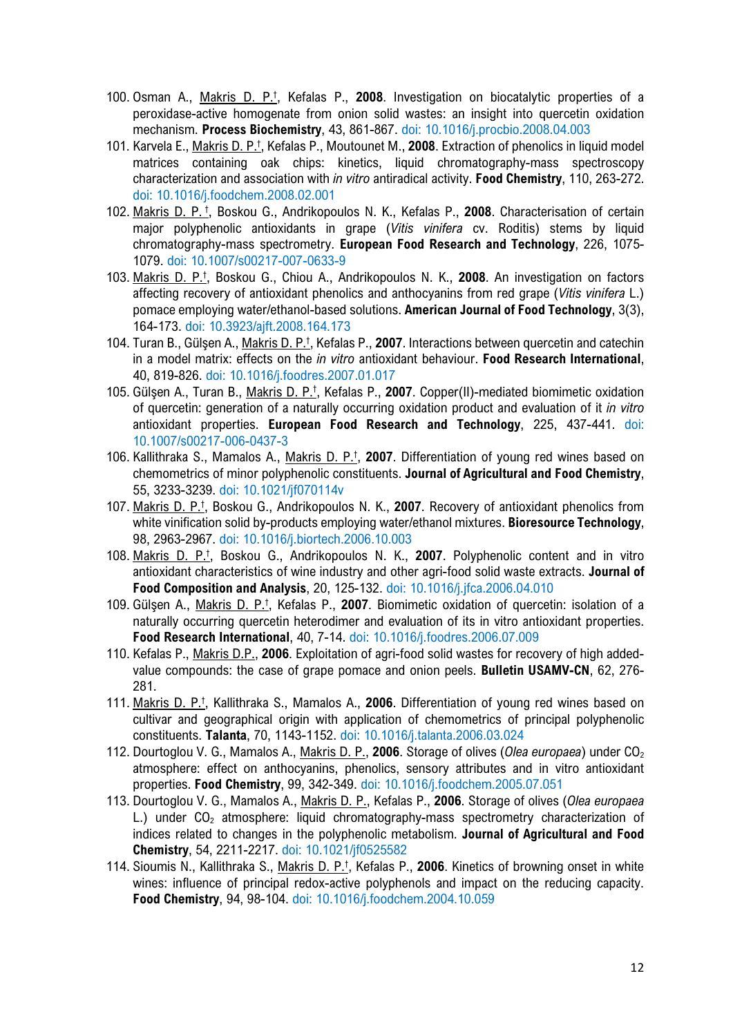- 100. Osman A., Makris D. P.† , Kefalas P., **2008**. Investigation on biocatalytic properties of a peroxidase-active homogenate from onion solid wastes: an insight into quercetin oxidation mechanism. **Process Biochemistry**, 43, 861-867. doi: 10.1016/j.procbio.2008.04.003
- 101. Karvela E., Makris D. P.† , Kefalas P., Moutounet M., **2008**. Extraction of phenolics in liquid model matrices containing oak chips: kinetics, liquid chromatography-mass spectroscopy characterization and association with *in vitro* antiradical activity. **Food Chemistry**, 110, 263-272. doi: 10.1016/j.foodchem.2008.02.001
- 102. Makris D. P. † , Boskou G., Andrikopoulos N. K., Kefalas P., **2008**. Characterisation of certain major polyphenolic antioxidants in grape (*Vitis vinifera* cv. Roditis) stems by liquid chromatography-mass spectrometry. **European Food Research and Technology**, 226, 1075- 1079. doi: 10.1007/s00217-007-0633-9
- 103. Makris D. P.† , Boskou G., Chiou A., Andrikopoulos N. K., **2008**. An investigation on factors affecting recovery of antioxidant phenolics and anthocyanins from red grape (*Vitis vinifera* L.) pomace employing water/ethanol-based solutions. **American Journal of Food Technology**, 3(3), 164-173. doi: 10.3923/ajft.2008.164.173
- 104. Turan B., Gülşen A., Makris D. P.† , Kefalas P., **2007**. Interactions between quercetin and catechin in a model matrix: effects on the *in vitro* antioxidant behaviour. **Food Research International**, 40, 819-826. doi: 10.1016/j.foodres.2007.01.017
- 105. Gülşen A., Turan B., Makris D. P.† , Kefalas P., **2007**. Copper(II)-mediated biomimetic oxidation of quercetin: generation of a naturally occurring oxidation product and evaluation of it *in vitro* antioxidant properties. **European Food Research and Technology**, 225, 437-441. doi: 10.1007/s00217-006-0437-3
- 106. Kallithraka S., Mamalos A., Makris D. P.† , **2007**. Differentiation of young red wines based on chemometrics of minor polyphenolic constituents. **Journal of Agricultural and Food Chemistry**, 55, 3233-3239. doi: 10.1021/jf070114v
- 107. Makris D. P.† , Boskou G., Andrikopoulos N. K., **2007**. Recovery of antioxidant phenolics from white vinification solid by-products employing water/ethanol mixtures. **Bioresource Technology**, 98, 2963-2967. doi: 10.1016/j.biortech.2006.10.003
- 108. Makris D. P.† , Boskou G., Andrikopoulos N. K., **2007**. Polyphenolic content and in vitro antioxidant characteristics of wine industry and other agri-food solid waste extracts. **Journal of Food Composition and Analysis**, 20, 125-132. doi: 10.1016/j.jfca.2006.04.010
- 109. Gülşen A., Makris D. P.† , Kefalas P., **2007**. Biomimetic oxidation of quercetin: isolation of a naturally occurring quercetin heterodimer and evaluation of its in vitro antioxidant properties. **Food Research International**, 40, 7-14. doi: 10.1016/j.foodres.2006.07.009
- 110. Kefalas P., Makris D.P., **2006**. Exploitation of agri-food solid wastes for recovery of high addedvalue compounds: the case of grape pomace and onion peels. **Bulletin USAMV-CN**, 62, 276- 281.
- 111. Makris D. P.† , Kallithraka S., Mamalos A., **2006**. Differentiation of young red wines based on cultivar and geographical origin with application of chemometrics of principal polyphenolic constituents. **Talanta**, 70, 1143-1152. doi: 10.1016/j.talanta.2006.03.024
- 112. Dourtoglou V. G., Mamalos A., Makris D. P., **2006**. Storage of olives (*Olea europaea*) under CO2 atmosphere: effect on anthocyanins, phenolics, sensory attributes and in vitro antioxidant properties. **Food Chemistry**, 99, 342-349. doi: 10.1016/j.foodchem.2005.07.051
- 113. Dourtoglou V. G., Mamalos A., Makris D. P., Kefalas P., **2006**. Storage of olives (*Olea europaea* L.) under  $CO<sub>2</sub>$  atmosphere: liquid chromatography-mass spectrometry characterization of indices related to changes in the polyphenolic metabolism. **Journal of Agricultural and Food Chemistry**, 54, 2211-2217. doi: 10.1021/jf0525582
- 114. Sioumis N., Kallithraka S., Makris D. P.† , Kefalas P., **2006**. Kinetics of browning onset in white wines: influence of principal redox-active polyphenols and impact on the reducing capacity. **Food Chemistry**, 94, 98-104. doi: 10.1016/j.foodchem.2004.10.059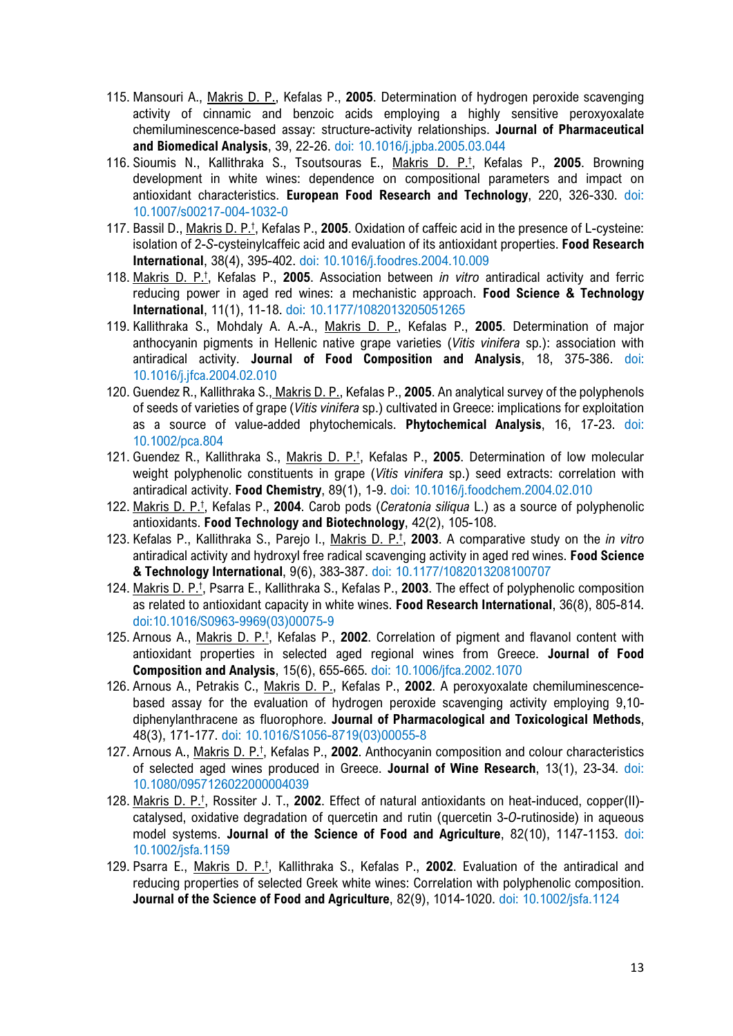- 115. Mansouri A., Makris D. P., Kefalas P., **2005**. Determination of hydrogen peroxide scavenging activity of cinnamic and benzoic acids employing a highly sensitive peroxyoxalate chemiluminescence-based assay: structure-activity relationships. **Journal of Pharmaceutical and Biomedical Analysis**, 39, 22-26. doi: 10.1016/j.jpba.2005.03.044
- 116. Sioumis N., Kallithraka S., Tsoutsouras E., Makris D. P.† , Kefalas P., **2005**. Browning development in white wines: dependence on compositional parameters and impact on antioxidant characteristics. **European Food Research and Technology**, 220, 326-330. doi: 10.1007/s00217-004-1032-0
- 117. Bassil D., Makris D. P.† , Kefalas P., **2005**. Oxidation of caffeic acid in the presence of L-cysteine: isolation of 2-*S*-cysteinylcaffeic acid and evaluation of its antioxidant properties. **Food Research International**, 38(4), 395-402. doi: 10.1016/j.foodres.2004.10.009
- 118. Makris D. P.† , Kefalas P., **2005**. Association between *in vitro* antiradical activity and ferric reducing power in aged red wines: a mechanistic approach. **Food Science & Technology International**, 11(1), 11-18. doi: 10.1177/1082013205051265
- 119. Kallithraka S., Mohdaly A. A.-A., Makris D. P., Kefalas P., **2005**. Determination of major anthocyanin pigments in Hellenic native grape varieties (*Vitis vinifera* sp.): association with antiradical activity. **Journal of Food Composition and Analysis**, 18, 375-386. doi: 10.1016/j.jfca.2004.02.010
- 120. Guendez R., Kallithraka S., Makris D. P., Kefalas P., **2005**. An analytical survey of the polyphenols of seeds of varieties of grape (*Vitis vinifera* sp.) cultivated in Greece: implications for exploitation as a source of value-added phytochemicals. **Phytochemical Analysis**, 16, 17-23. doi: 10.1002/pca.804
- 121. Guendez R., Kallithraka S., Makris D. P.† , Kefalas P., **2005**. Determination of low molecular weight polyphenolic constituents in grape (*Vitis vinifera* sp.) seed extracts: correlation with antiradical activity. **Food Chemistry**, 89(1), 1-9. doi: 10.1016/j.foodchem.2004.02.010
- 122. Makris D. P.† , Kefalas P., **2004**. Carob pods (*Ceratonia siliqua* L.) as a source of polyphenolic antioxidants. **Food Technology and Biotechnology**, 42(2), 105-108.
- 123. Kefalas P., Kallithraka S., Parejo I., Makris D. P.† , **2003**. A comparative study on the *in vitro* antiradical activity and hydroxyl free radical scavenging activity in aged red wines. **Food Science & Technology International**, 9(6), 383-387. doi: 10.1177/1082013208100707
- 124. Makris D. P.† , Psarra E., Kallithraka S., Kefalas P., **2003**. The effect of polyphenolic composition as related to antioxidant capacity in white wines. **Food Research International**, 36(8), 805-814. doi:10.1016/S0963-9969(03)00075-9
- 125. Arnous A., Makris D. P.† , Kefalas P., **2002**. Correlation of pigment and flavanol content with antioxidant properties in selected aged regional wines from Greece. **Journal of Food Composition and Analysis**, 15(6), 655-665. doi: 10.1006/jfca.2002.1070
- 126. Arnous A., Petrakis C., Makris D. P., Kefalas P., **2002**. A peroxyoxalate chemiluminescencebased assay for the evaluation of hydrogen peroxide scavenging activity employing 9,10 diphenylanthracene as fluorophore. **Journal of Pharmacological and Toxicological Methods**, 48(3), 171-177. doi: 10.1016/S1056-8719(03)00055-8
- 127. Arnous A., Makris D. P.† , Kefalas P., **2002**. Anthocyanin composition and colour characteristics of selected aged wines produced in Greece. **Journal of Wine Research**, 13(1), 23-34. doi: 10.1080/0957126022000004039
- 128. Makris D. P.† , Rossiter J. T., **2002**. Effect of natural antioxidants on heat-induced, copper(II) catalysed, oxidative degradation of quercetin and rutin (quercetin 3-*O*-rutinoside) in aqueous model systems. **Journal of the Science of Food and Agriculture**, 82(10), 1147-1153. doi: 10.1002/jsfa.1159
- 129. Psarra E., Makris D. P.† , Kallithraka S., Kefalas P., **2002**. Evaluation of the antiradical and reducing properties of selected Greek white wines: Correlation with polyphenolic composition. **Journal of the Science of Food and Agriculture**, 82(9), 1014-1020. doi: 10.1002/jsfa.1124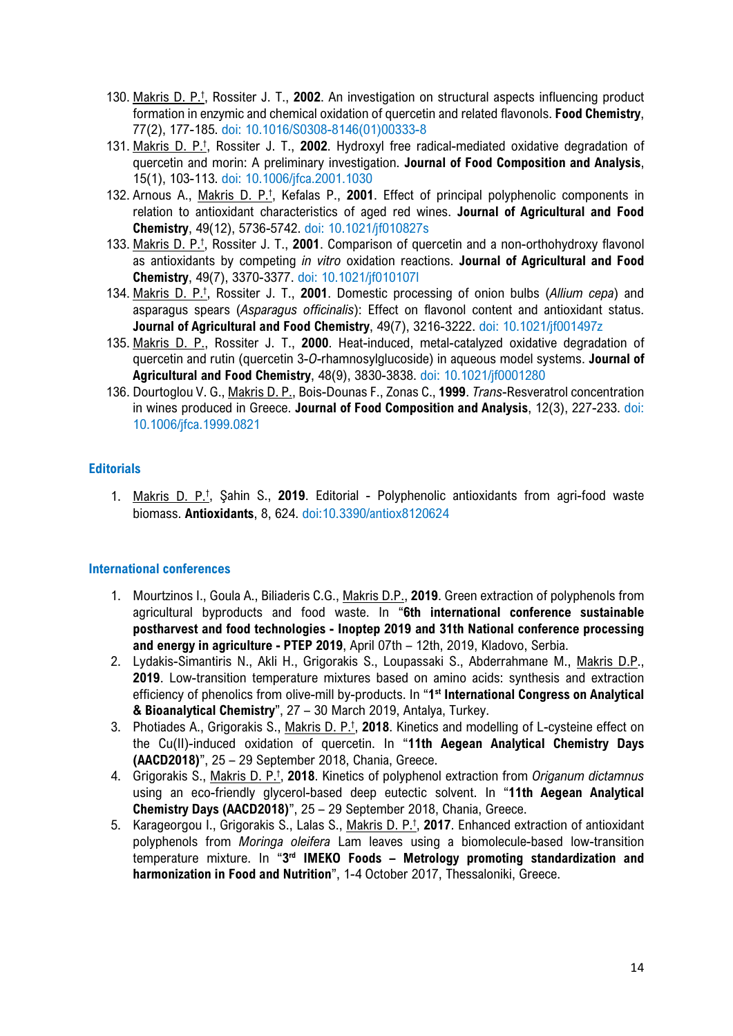- 130. Makris D. P.† , Rossiter J. T., **2002**. An investigation on structural aspects influencing product formation in enzymic and chemical oxidation of quercetin and related flavonols. **Food Chemistry**, 77(2), 177-185. doi: 10.1016/S0308-8146(01)00333-8
- 131. Makris D. P.† , Rossiter J. T., **2002**. Hydroxyl free radical-mediated oxidative degradation of quercetin and morin: A preliminary investigation. **Journal of Food Composition and Analysis**, 15(1), 103-113. doi: 10.1006/jfca.2001.1030
- 132. Arnous A., Makris D. P.† , Kefalas P., **2001**. Effect of principal polyphenolic components in relation to antioxidant characteristics of aged red wines. **Journal of Agricultural and Food Chemistry**, 49(12), 5736-5742. doi: 10.1021/jf010827s
- 133. Makris D. P.† , Rossiter J. T., **2001**. Comparison of quercetin and a non-orthohydroxy flavonol as antioxidants by competing *in vitro* oxidation reactions. **Journal of Agricultural and Food Chemistry**, 49(7), 3370-3377. doi: 10.1021/jf010107l
- 134. Makris D. P.† , Rossiter J. T., **2001**. Domestic processing of onion bulbs (*Allium cepa*) and asparagus spears (*Asparagus officinalis*): Effect on flavonol content and antioxidant status. **Journal of Agricultural and Food Chemistry**, 49(7), 3216-3222. doi: 10.1021/jf001497z
- 135. Makris D. P., Rossiter J. T., **2000**. Heat-induced, metal-catalyzed oxidative degradation of quercetin and rutin (quercetin 3-*O*-rhamnosylglucoside) in aqueous model systems. **Journal of Agricultural and Food Chemistry**, 48(9), 3830-3838. doi: 10.1021/jf0001280
- 136. Dourtoglou V. G., Makris D. P., Bois-Dounas F., Zonas C., **1999**. *Trans*-Resveratrol concentration in wines produced in Greece. **Journal of Food Composition and Analysis**, 12(3), 227-233. doi: 10.1006/jfca.1999.0821

### **Editorials**

1. Makris D. P.† , Şahin S., **2019**. Editorial - Polyphenolic antioxidants from agri-food waste biomass. **Antioxidants**, 8, 624. doi:10.3390/antiox8120624

#### **International conferences**

- 1. Mourtzinos I., Goula A., Biliaderis C.G., Makris D.P., **2019**. Green extraction of polyphenols from agricultural byproducts and food waste. In "**6th international conference sustainable postharvest and food technologies - Inoptep 2019 and 31th National conference processing and energy in agriculture - PTEP 2019**, April 07th – 12th, 2019, Kladovo, Serbia.
- 2. Lydakis-Simantiris N., Akli H., Grigorakis S., Loupassaki S., Abderrahmane M., Makris D.P., **2019**. Low-transition temperature mixtures based on amino acids: synthesis and extraction efficiency of phenolics from olive-mill by-products. In "**1st International Congress on Analytical & Bioanalytical Chemistry**", 27 – 30 March 2019, Antalya, Turkey.
- 3. Photiades A., Grigorakis S., Makris D. P.† , **2018**. Kinetics and modelling of L-cysteine effect on the Cu(II)-induced oxidation of quercetin. In "**11th Aegean Analytical Chemistry Days (AACD2018)**", 25 – 29 September 2018, Chania, Greece.
- 4. Grigorakis S., Makris D. P.† , **2018**. Kinetics of polyphenol extraction from *Origanum dictamnus* using an eco-friendly glycerol-based deep eutectic solvent. In "**11th Aegean Analytical Chemistry Days (AACD2018)**", 25 – 29 September 2018, Chania, Greece.
- 5. Karageorgou I., Grigorakis S., Lalas S., Makris D. P.† , **2017**. Enhanced extraction of antioxidant polyphenols from *Moringa oleifera* Lam leaves using a biomolecule-based low-transition temperature mixture. In "**3rd IMEKO Foods – Metrology promoting standardization and harmonization in Food and Nutrition**", 1-4 October 2017, Thessaloniki, Greece.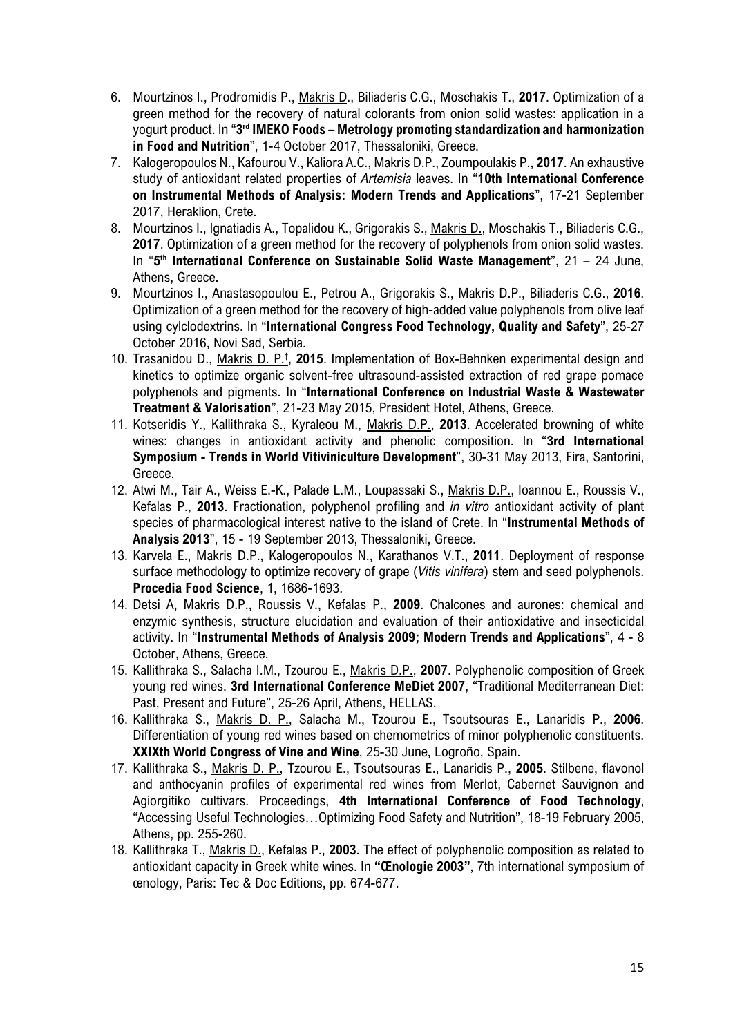- 6. Mourtzinos I., Prodromidis P., Makris D., Biliaderis C.G., Moschakis T., **2017**. Optimization of a green method for the recovery of natural colorants from onion solid wastes: application in a yogurt product. In "**3rd IMEKO Foods – Metrology promoting standardization and harmonization in Food and Nutrition**", 1-4 October 2017, Thessaloniki, Greece.
- 7. Kalogeropoulos N., Kafourou V., Kaliora A.C., Makris D.P., Zoumpoulakis P., **2017**. An exhaustive study of antioxidant related properties of *Artemisia* leaves. In "**10th International Conference on Instrumental Methods of Analysis: Modern Trends and Applications**", 17-21 September 2017, Heraklion, Crete.
- 8. Mourtzinos I., Ignatiadis A., Topalidou K., Grigorakis S., Makris D., Moschakis T., Biliaderis C.G., **2017**. Optimization of a green method for the recovery of polyphenols from onion solid wastes. In "**5th International Conference on Sustainable Solid Waste Management**", 21 – 24 June, Athens, Greece.
- 9. Mourtzinos I., Anastasopoulou E., Petrou A., Grigorakis S., Makris D.P., Biliaderis C.G., **2016**. Optimization of a green method for the recovery of high-added value polyphenols from olive leaf using cylclodextrins. In "**International Congress Food Technology, Quality and Safety**", 25-27 October 2016, Novi Sad, Serbia.
- 10. Trasanidou D., Makris D. P.† , **2015**. Implementation of Box-Behnken experimental design and kinetics to optimize organic solvent-free ultrasound-assisted extraction of red grape pomace polyphenols and pigments. In "**International Conference on Industrial Waste & Wastewater Treatment & Valorisation**", 21-23 May 2015, President Hotel, Athens, Greece.
- 11. Kotseridis Y., Kallithraka S., Kyraleou M., Makris D.P., **2013**. Accelerated browning of white wines: changes in antioxidant activity and phenolic composition. In "**3rd International Symposium - Trends in World Vitiviniculture Development**", 30-31 May 2013, Fira, Santorini, Greece.
- 12. Atwi M., Tair A., Weiss E.-K., Palade L.M., Loupassaki S., Makris D.P., Ioannou E., Roussis V., Kefalas P., **2013**. Fractionation, polyphenol profiling and *in vitro* antioxidant activity of plant species of pharmacological interest native to the island of Crete. In "**Instrumental Methods of Analysis 2013**", 15 - 19 September 2013, Thessaloniki, Greece.
- 13. Karvela E., Makris D.P., Kalogeropoulos N., Karathanos V.T., **2011**. [Deployment of response](http://www.sciencedirect.com/science/article/pii/S2211601X11002501?_alid=1870144968&_rdoc=1&_fmt=high&_origin=search&_docanchor=&_ct=109&_zone=rslt_list_item&md5=69636a032fbae9b66268df03a032d804)  [surface methodology to optimize recovery of grape \(](http://www.sciencedirect.com/science/article/pii/S2211601X11002501?_alid=1870144968&_rdoc=1&_fmt=high&_origin=search&_docanchor=&_ct=109&_zone=rslt_list_item&md5=69636a032fbae9b66268df03a032d804)*Vitis vinifera*) stem and seed polyphenols. **Procedia Food Science**, 1, 1686-1693.
- 14. Detsi A, Makris D.P., Roussis V., Kefalas P., **2009**. Chalcones and aurones: chemical and enzymic synthesis, structure elucidation and evaluation of their antioxidative and insecticidal activity. In "**Instrumental Methods of Analysis 2009; Modern Trends and Applications**", 4 - 8 October, Athens, Greece.
- 15. Kallithraka S., Salacha I.M., Tzourou E., Makris D.P., **2007**. Polyphenolic composition of Greek young red wines. **3rd International Conference MeDiet 2007**, "Traditional Mediterranean Diet: Past, Present and Future", 25-26 April, Athens, HELLAS.
- 16. Kallithraka S., Makris D. P., Salacha M., Tzourou E., Tsoutsouras E., Lanaridis P., **2006**. Differentiation of young red wines based on chemometrics of minor polyphenolic constituents. **XXIXth World Congress of Vine and Wine**, 25-30 June, Logroño, Spain.
- 17. Kallithraka S., Makris D. P., Tzourou E., Tsoutsouras E., Lanaridis P., **2005**. Stilbene, flavonol and anthocyanin profiles of experimental red wines from Merlot, Cabernet Sauvignon and Agiorgitiko cultivars. Proceedings, **4th International Conference of Food Technology**, "Accessing Useful Technologies…Optimizing Food Safety and Nutrition", 18-19 February 2005, Athens, pp. 255-260.
- 18. Kallithraka T., Makris D., Kefalas P., **2003**. The effect of polyphenolic composition as related to antioxidant capacity in Greek white wines. In **"Œnologie 2003"**, 7th international symposium of œnology, Paris: Tec & Doc Editions, pp. 674-677.